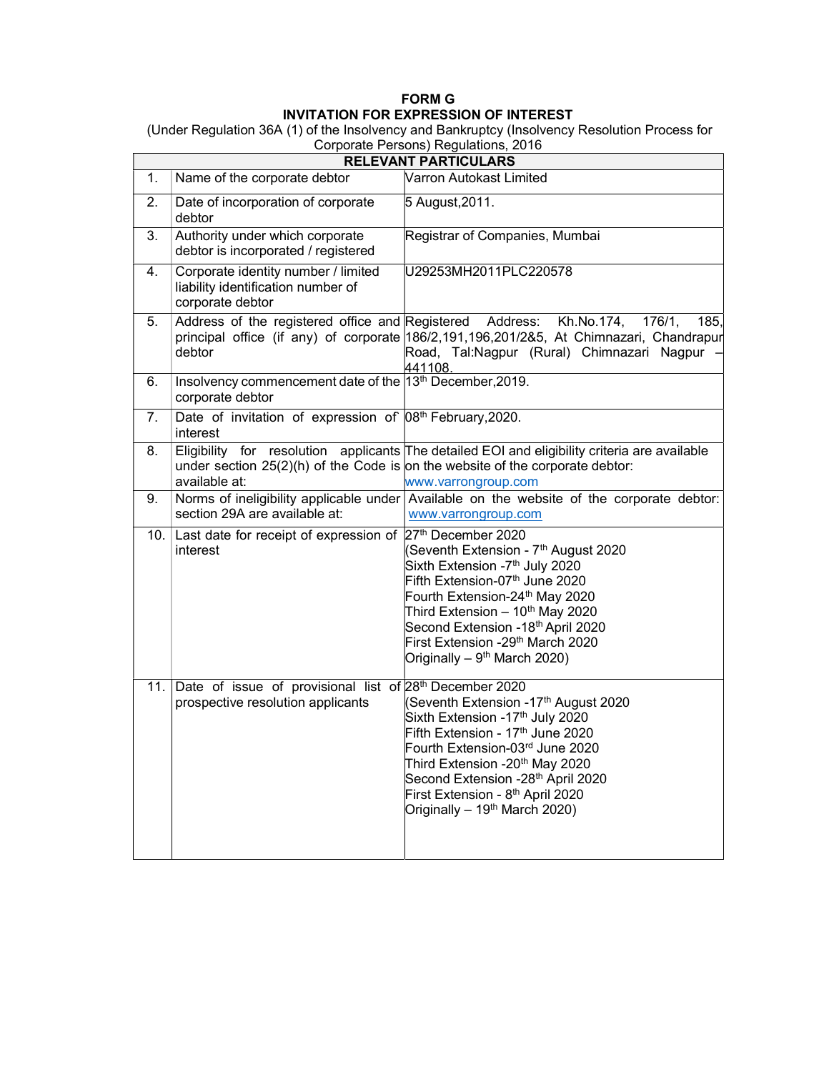## FORM G INVITATION FOR EXPRESSION OF INTEREST

 (Under Regulation 36A (1) of the Insolvency and Bankruptcy (Insolvency Resolution Process for Corporate Persons) Regulations, 2016

| <b>RELEVANT PARTICULARS</b> |                                                                                                          |                                                                                                                                                                                                                                                                                                                                                                    |  |  |
|-----------------------------|----------------------------------------------------------------------------------------------------------|--------------------------------------------------------------------------------------------------------------------------------------------------------------------------------------------------------------------------------------------------------------------------------------------------------------------------------------------------------------------|--|--|
| 1.                          | Name of the corporate debtor                                                                             | Varron Autokast Limited                                                                                                                                                                                                                                                                                                                                            |  |  |
| $\overline{2}$ .            | Date of incorporation of corporate<br>debtor                                                             | 5 August, 2011.                                                                                                                                                                                                                                                                                                                                                    |  |  |
| 3.                          | Authority under which corporate<br>debtor is incorporated / registered                                   | Registrar of Companies, Mumbai                                                                                                                                                                                                                                                                                                                                     |  |  |
| 4.                          | Corporate identity number / limited<br>liability identification number of<br>corporate debtor            | U29253MH2011PLC220578                                                                                                                                                                                                                                                                                                                                              |  |  |
| 5.                          | Address of the registered office and Registered Address:<br>debtor                                       | Kh.No.174,<br>176/1,<br>185,<br>principal office (if any) of corporate 186/2,191,196,201/2&5, At Chimnazari, Chandrapur<br>Road, Tal:Nagpur (Rural) Chimnazari Nagpur<br>441108.                                                                                                                                                                                   |  |  |
| 6.                          | Insolvency commencement date of the 13th December, 2019.<br>corporate debtor                             |                                                                                                                                                                                                                                                                                                                                                                    |  |  |
| 7.                          | Date of invitation of expression of 08 <sup>th</sup> February, 2020.<br>interest                         |                                                                                                                                                                                                                                                                                                                                                                    |  |  |
| 8.                          | available at:                                                                                            | Eligibility for resolution applicants The detailed EOI and eligibility criteria are available<br>under section $25(2)(h)$ of the Code is on the website of the corporate debtor:<br>www.varrongroup.com                                                                                                                                                            |  |  |
| 9.                          | section 29A are available at:                                                                            | Norms of ineligibility applicable under Available on the website of the corporate debtor:<br>www.varrongroup.com                                                                                                                                                                                                                                                   |  |  |
| 10.                         | Last date for receipt of expression of 27th December 2020<br>interest                                    | (Seventh Extension - 7 <sup>th</sup> August 2020<br>Sixth Extension -7 <sup>th</sup> July 2020<br>Fifth Extension-07 <sup>th</sup> June 2020<br>Fourth Extension-24th May 2020<br>Third Extension - 10 <sup>th</sup> May 2020<br>Second Extension -18th April 2020<br>First Extension -29 <sup>th</sup> March 2020<br>Originally – $9^{th}$ March 2020)            |  |  |
| 11.                         | Date of issue of provisional list of 28 <sup>th</sup> December 2020<br>prospective resolution applicants | (Seventh Extension -17th August 2020<br>Sixth Extension -17 <sup>th</sup> July 2020<br>Fifth Extension - 17 <sup>th</sup> June 2020<br>Fourth Extension-03rd June 2020<br>Third Extension -20 <sup>th</sup> May 2020<br>Second Extension -28 <sup>th</sup> April 2020<br>First Extension - 8 <sup>th</sup> April 2020<br>Originally - 19 <sup>th</sup> March 2020) |  |  |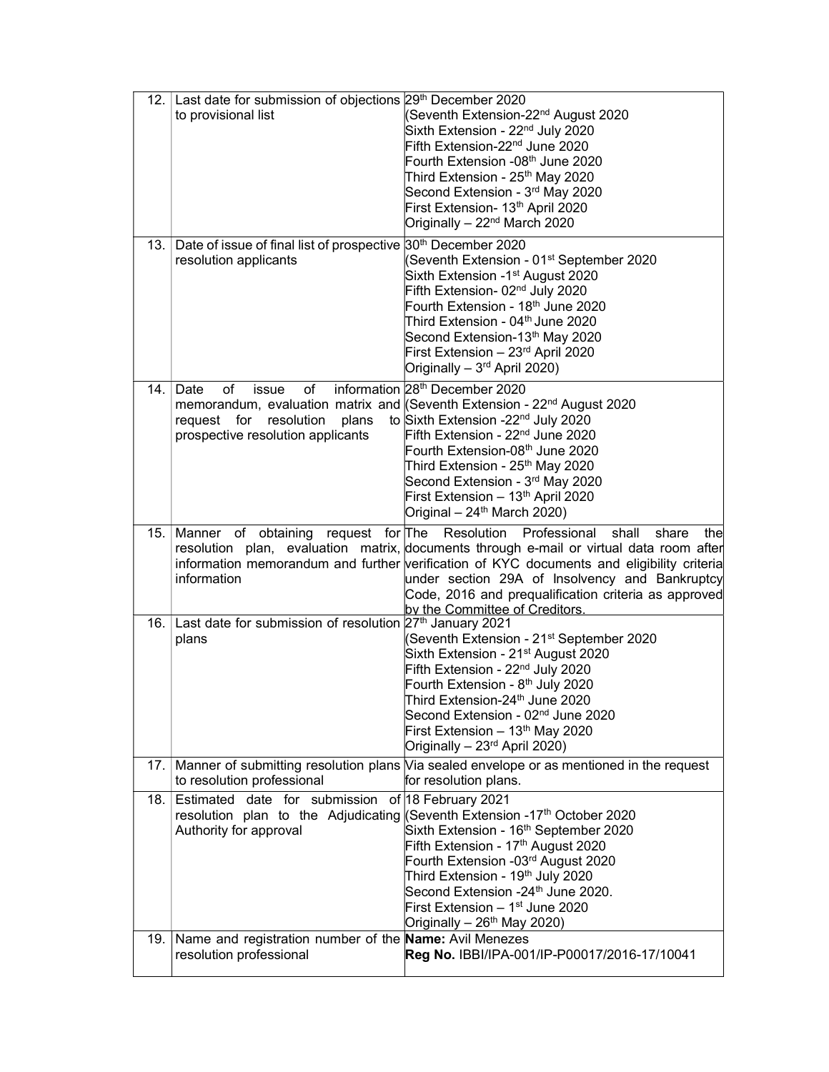| 12.1<br>13.1 | Last date for submission of objections 29th December 2020<br>to provisional list<br>Date of issue of final list of prospective 30 <sup>th</sup> December 2020 | (Seventh Extension-22 <sup>nd</sup> August 2020<br>Sixth Extension - 22 <sup>nd</sup> July 2020<br>Fifth Extension-22 <sup>nd</sup> June 2020<br>Fourth Extension -08 <sup>th</sup> June 2020<br>Third Extension - 25 <sup>th</sup> May 2020<br>Second Extension - 3rd May 2020<br>First Extension- 13th April 2020<br>Originally - 22 <sup>nd</sup> March 2020                                                                                                              |
|--------------|---------------------------------------------------------------------------------------------------------------------------------------------------------------|------------------------------------------------------------------------------------------------------------------------------------------------------------------------------------------------------------------------------------------------------------------------------------------------------------------------------------------------------------------------------------------------------------------------------------------------------------------------------|
|              | resolution applicants                                                                                                                                         | (Seventh Extension - 01 <sup>st</sup> September 2020<br>Sixth Extension -1 <sup>st</sup> August 2020<br>Fifth Extension- 02 <sup>nd</sup> July 2020<br>Fourth Extension - 18 <sup>th</sup> June 2020<br>Third Extension - 04 <sup>th</sup> June 2020<br>Second Extension-13th May 2020<br>First Extension - 23 <sup>rd</sup> April 2020<br>Originally - 3 <sup>rd</sup> April 2020)                                                                                          |
|              | of<br>of<br>14. $Data$<br>issue<br>plans<br>request for resolution<br>prospective resolution applicants                                                       | information 28 <sup>th</sup> December 2020<br>memorandum, evaluation matrix and (Seventh Extension - 22 <sup>nd</sup> August 2020<br>to Sixth Extension -22 <sup>nd</sup> July 2020<br>Fifth Extension - 22 <sup>nd</sup> June 2020<br>Fourth Extension-08 <sup>th</sup> June 2020<br>Third Extension - 25 <sup>th</sup> May 2020<br>Second Extension - 3 <sup>rd</sup> May 2020<br>First Extension - 13 <sup>th</sup> April 2020<br>Original - 24 <sup>th</sup> March 2020) |
|              | 15.   Manner of obtaining request for The Resolution<br>information                                                                                           | Professional shall<br>share<br>the<br>resolution plan, evaluation matrix, documents through e-mail or virtual data room after<br>information memorandum and further verification of KYC documents and eligibility criteria<br>under section 29A of Insolvency and Bankruptcy<br>Code, 2016 and prequalification criteria as approved<br>by the Committee of Creditors.                                                                                                       |
| 16.1         | Last date for submission of resolution 27th January 2021<br>plans                                                                                             | (Seventh Extension - 21 <sup>st</sup> September 2020<br>Sixth Extension - 21 <sup>st</sup> August 2020<br>Fifth Extension - 22 <sup>nd</sup> July 2020<br>Fourth Extension - 8 <sup>th</sup> July 2020<br>Third Extension-24 <sup>th</sup> June 2020<br>Second Extension - 02 <sup>nd</sup> June 2020<br>First Extension - 13th May 2020<br>Originally - 23 <sup>rd</sup> April 2020)                                                                                        |
|              | to resolution professional                                                                                                                                    | 17. Manner of submitting resolution plans Via sealed envelope or as mentioned in the request<br>for resolution plans.                                                                                                                                                                                                                                                                                                                                                        |
| 18.1         | Estimated date for submission of 18 February 2021<br>Authority for approval                                                                                   | resolution plan to the Adjudicating (Seventh Extension -17 <sup>th</sup> October 2020<br>Sixth Extension - 16 <sup>th</sup> September 2020<br>Fifth Extension - 17 <sup>th</sup> August 2020<br>Fourth Extension -03rd August 2020<br>Third Extension - 19 <sup>th</sup> July 2020<br>Second Extension -24 <sup>th</sup> June 2020.<br>First Extension - 1st June 2020<br>Originally - 26 <sup>th</sup> May 2020)                                                            |
| 19.1         | Name and registration number of the Name: Avil Menezes<br>resolution professional                                                                             | Reg No. IBBI/IPA-001/IP-P00017/2016-17/10041                                                                                                                                                                                                                                                                                                                                                                                                                                 |